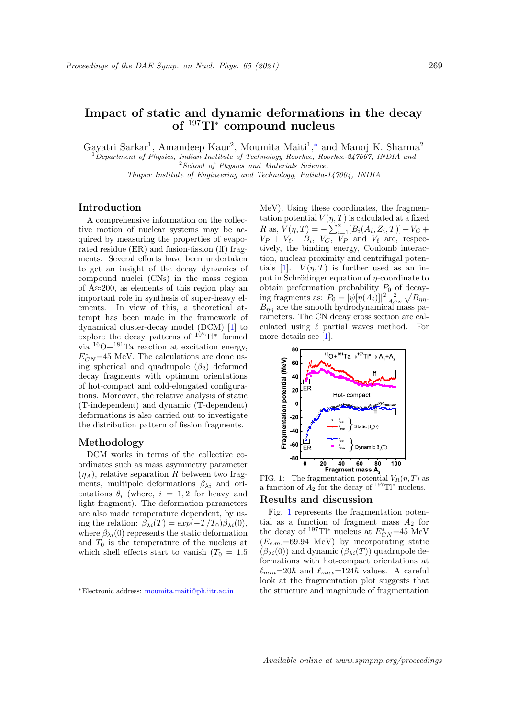# Impact of static and dynamic deformations in the decay of  $197$ Tl<sup>∗</sup> compound nucleus

Gayatri Sarkar<sup>1</sup>, Amandeep Kaur<sup>2</sup>, Moumita Maiti<sup>1</sup>,\* and Manoj K. Sharma<sup>2</sup>

 $1$ Department of Physics, Indian Institute of Technology Roorkee, Roorkee-247667, INDIA and  $2$  School of Physics and Materials Science,

Thapar Institute of Engineering and Technology, Patiala-147004, INDIA

## Introduction

A comprehensive information on the collective motion of nuclear systems may be acquired by measuring the properties of evaporated residue (ER) and fusion-fission (ff) fragments. Several efforts have been undertaken to get an insight of the decay dynamics of compound nuclei (CNs) in the mass region of A≈200, as elements of this region play an important role in synthesis of super-heavy elements. In view of this, a theoretical attempt has been made in the framework of dynamical cluster-decay model (DCM) [1] to explore the decay patterns of  $197Tl^*$  formed via  ${}^{16}O+{}^{181}Ta$  reaction at excitation energy,  $E_{CN}^*$ =45 MeV. The calculations are done using spherical and quadrupole  $(\beta_2)$  deformed decay fragments with optimum orientations of hot-compact and cold-elongated configurations. Moreover, the relative analysis of static (T-independent) and dynamic (T-dependent) deformations is also carried out to investigate the distribution pattern of fission fragments.

## Methodology

DCM works in terms of the collective coordinates such as mass asymmetry parameter  $(\eta_A)$ , relative separation R between two fragments, multipole deformations  $\beta_{\lambda i}$  and orientations  $\theta_i$  (where,  $i = 1, 2$  for heavy and light fragment). The deformation parameters are also made temperature dependent, by using the relation:  $\beta_{\lambda i}(T) = exp(-T/T_0)\beta_{\lambda i}(0)$ , where  $\beta_{\lambda i}(0)$  represents the static deformation and  $T_0$  is the temperature of the nucleus at which shell effects start to vanish  $(T_0 = 1.5)$  MeV). Using these coordinates, the fragmentation potential  $V(\eta, T)$  is calculated at a fixed R as,  $V(\eta, T) = -\sum_{i=1}^{2} [B_i(A_i, Z_i, T)] + V_C +$  $V_P + V_{\ell}$ .  $B_i$ ,  $V_C$ ,  $V_P$  and  $V_{\ell}$  are, respectively, the binding energy, Coulomb interaction, nuclear proximity and centrifugal potentials [1].  $V(\eta, T)$  is further used as an input in Schrödinger equation of  $\eta$ -coordinate to obtain preformation probability  $P_0$  of decaying fragments as:  $P_0 = |\psi[\eta(A_i)]|^2 \frac{2}{A_{CN}} \sqrt{B_{\eta\eta}}$ .  $B_{\eta\eta}$  are the smooth hydrodynamical mass parameters. The CN decay cross section are calculated using  $\ell$  partial waves method. For more details see [1].



FIG. 1: The fragmentation potential  $V_R(\eta, T)$  as a function of  $A_2$  for the decay of <sup>197</sup>Tl<sup>\*</sup> nucleus.

#### Results and discussion

Fig. 1 represents the fragmentation potential as a function of fragment mass  $A_2$  for the decay of <sup>197</sup>Tl<sup>∗</sup> nucleus at  $E_{CN}^*$ =45 MeV  $(E_{c.m.} = 69.94 \text{ MeV})$  by incorporating static  $(\beta_{\lambda i}(0))$  and dynamic  $(\beta_{\lambda i}(T))$  quadrupole deformations with hot-compact orientations at  $\ell_{min}=20\hbar$  and  $\ell_{max}=124\hbar$  values. A careful look at the fragmentation plot suggests that the structure and magnitude of fragmentation

<sup>∗</sup>Electronic address: moumita.maiti@ph.iitr.ac.in